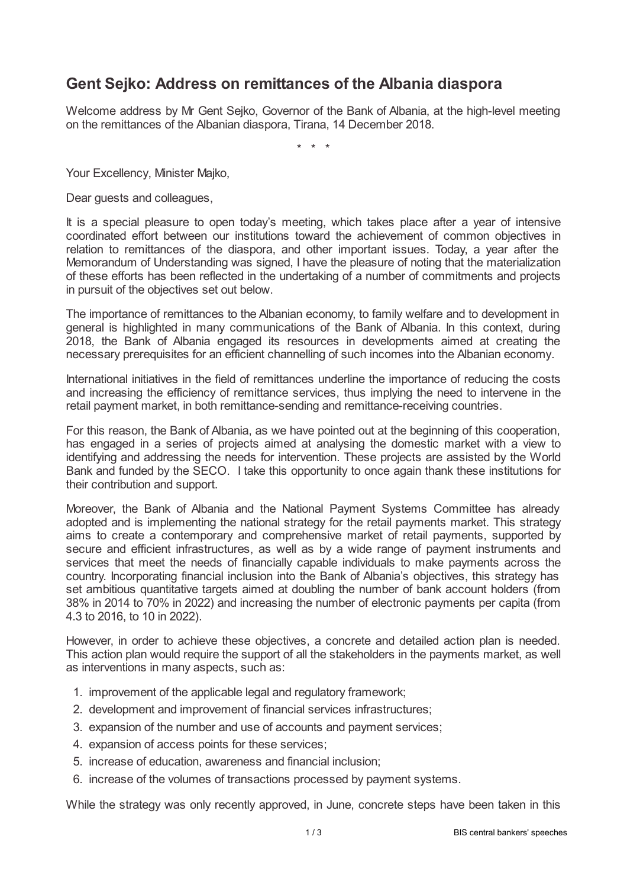## **Gent Sejko: Address on remittances of the Albania diaspora**

Welcome address by Mr Gent Sejko, Governor of the Bank of Albania, at the high-level meeting on the remittances of the Albanian diaspora, Tirana, 14 December 2018.

\* \* \*

Your Excellency, Minister Majko,

Dear guests and colleagues,

It is a special pleasure to open today's meeting, which takes place after a year of intensive coordinated effort between our institutions toward the achievement of common objectives in relation to remittances of the diaspora, and other important issues. Today, a year after the Memorandum of Understanding was signed, I have the pleasure of noting that the materialization of these efforts has been reflected in the undertaking of a number of commitments and projects in pursuit of the objectives set out below.

The importance of remittances to the Albanian economy, to family welfare and to development in general is highlighted in many communications of the Bank of Albania. In this context, during 2018, the Bank of Albania engaged its resources in developments aimed at creating the necessary prerequisites for an efficient channelling of such incomes into the Albanian economy.

International initiatives in the field of remittances underline the importance of reducing the costs and increasing the efficiency of remittance services, thus implying the need to intervene in the retail payment market, in both remittance-sending and remittance-receiving countries.

For this reason, the Bank of Albania, as we have pointed out at the beginning of this cooperation, has engaged in a series of projects aimed at analysing the domestic market with a view to identifying and addressing the needs for intervention. These projects are assisted by the World Bank and funded by the SECO. I take this opportunity to once again thank these institutions for their contribution and support.

Moreover, the Bank of Albania and the National Payment Systems Committee has already adopted and is implementing the national strategy for the retail payments market. This strategy aims to create a contemporary and comprehensive market of retail payments, supported by secure and efficient infrastructures, as well as by a wide range of payment instruments and services that meet the needs of financially capable individuals to make payments across the country. Incorporating financial inclusion into the Bank of Albania's objectives, this strategy has set ambitious quantitative targets aimed at doubling the number of bank account holders (from 38% in 2014 to 70% in 2022) and increasing the number of electronic payments per capita (from 4.3 to 2016, to 10 in 2022).

However, in order to achieve these objectives, a concrete and detailed action plan is needed. This action plan would require the support of all the stakeholders in the payments market, as well as interventions in many aspects, such as:

- 1. improvement of the applicable legal and regulatory framework;
- 2. development and improvement of financial services infrastructures;
- 3. expansion of the number and use of accounts and payment services;
- 4. expansion of access points for these services;
- 5. increase of education, awareness and financial inclusion;
- 6. increase of the volumes of transactions processed by payment systems.

While the strategy was only recently approved, in June, concrete steps have been taken in this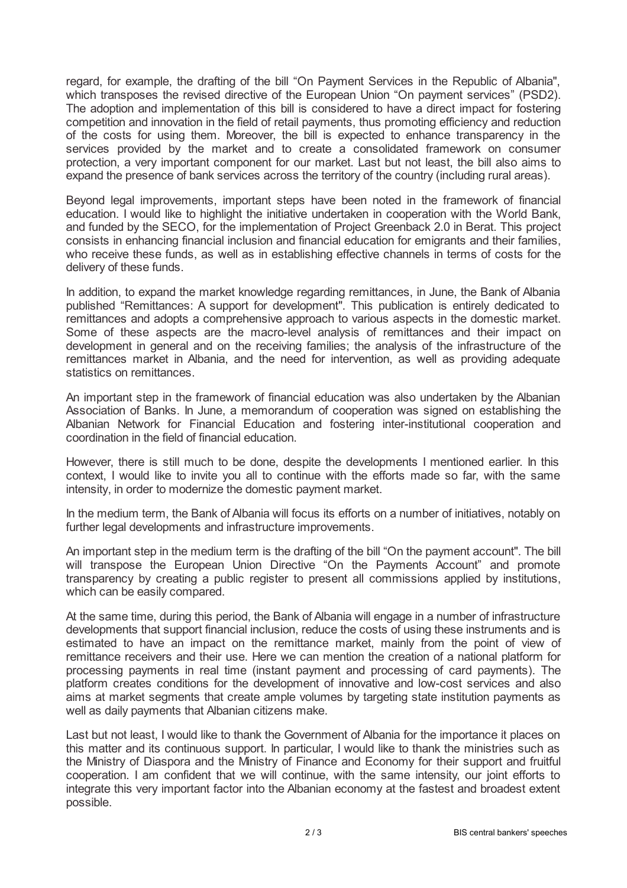regard, for example, the drafting of the bill "On Payment Services in the Republic of Albania", which transposes the revised directive of the European Union "On payment services" (PSD2). The adoption and implementation of this bill is considered to have a direct impact for fostering competition and innovation in the field of retail payments, thus promoting efficiency and reduction of the costs for using them. Moreover, the bill is expected to enhance transparency in the services provided by the market and to create a consolidated framework on consumer protection, a very important component for our market. Last but not least, the bill also aims to expand the presence of bank services across the territory of the country (including rural areas).

Beyond legal improvements, important steps have been noted in the framework of financial education. I would like to highlight the initiative undertaken in cooperation with the World Bank, and funded by the SECO, for the implementation of Project Greenback 2.0 in Berat. This project consists in enhancing financial inclusion and financial education for emigrants and their families, who receive these funds, as well as in establishing effective channels in terms of costs for the delivery of these funds.

In addition, to expand the market knowledge regarding remittances, in June, the Bank of Albania published "Remittances: A support for development". This publication is entirely dedicated to remittances and adopts a comprehensive approach to various aspects in the domestic market. Some of these aspects are the macro-level analysis of remittances and their impact on development in general and on the receiving families; the analysis of the infrastructure of the remittances market in Albania, and the need for intervention, as well as providing adequate statistics on remittances.

An important step in the framework of financial education was also undertaken by the Albanian Association of Banks. In June, a memorandum of cooperation was signed on establishing the Albanian Network for Financial Education and fostering inter-institutional cooperation and coordination in the field of financial education.

However, there is still much to be done, despite the developments I mentioned earlier. In this context, I would like to invite you all to continue with the efforts made so far, with the same intensity, in order to modernize the domestic payment market.

In the medium term, the Bank of Albania will focus its efforts on a number of initiatives, notably on further legal developments and infrastructure improvements.

An important step in the medium term is the drafting of the bill "On the payment account". The bill will transpose the European Union Directive "On the Payments Account" and promote transparency by creating a public register to present all commissions applied by institutions, which can be easily compared.

At the same time, during this period, the Bank of Albania will engage in a number of infrastructure developments that support financial inclusion, reduce the costs of using these instruments and is estimated to have an impact on the remittance market, mainly from the point of view of remittance receivers and their use. Here we can mention the creation of a national platform for processing payments in real time (instant payment and processing of card payments). The platform creates conditions for the development of innovative and low-cost services and also aims at market segments that create ample volumes by targeting state institution payments as well as daily payments that Albanian citizens make.

Last but not least, I would like to thank the Government of Albania for the importance it places on this matter and its continuous support. In particular, I would like to thank the ministries such as the Ministry of Diaspora and the Ministry of Finance and Economy for their support and fruitful cooperation. I am confident that we will continue, with the same intensity, our joint efforts to integrate this very important factor into the Albanian economy at the fastest and broadest extent possible.